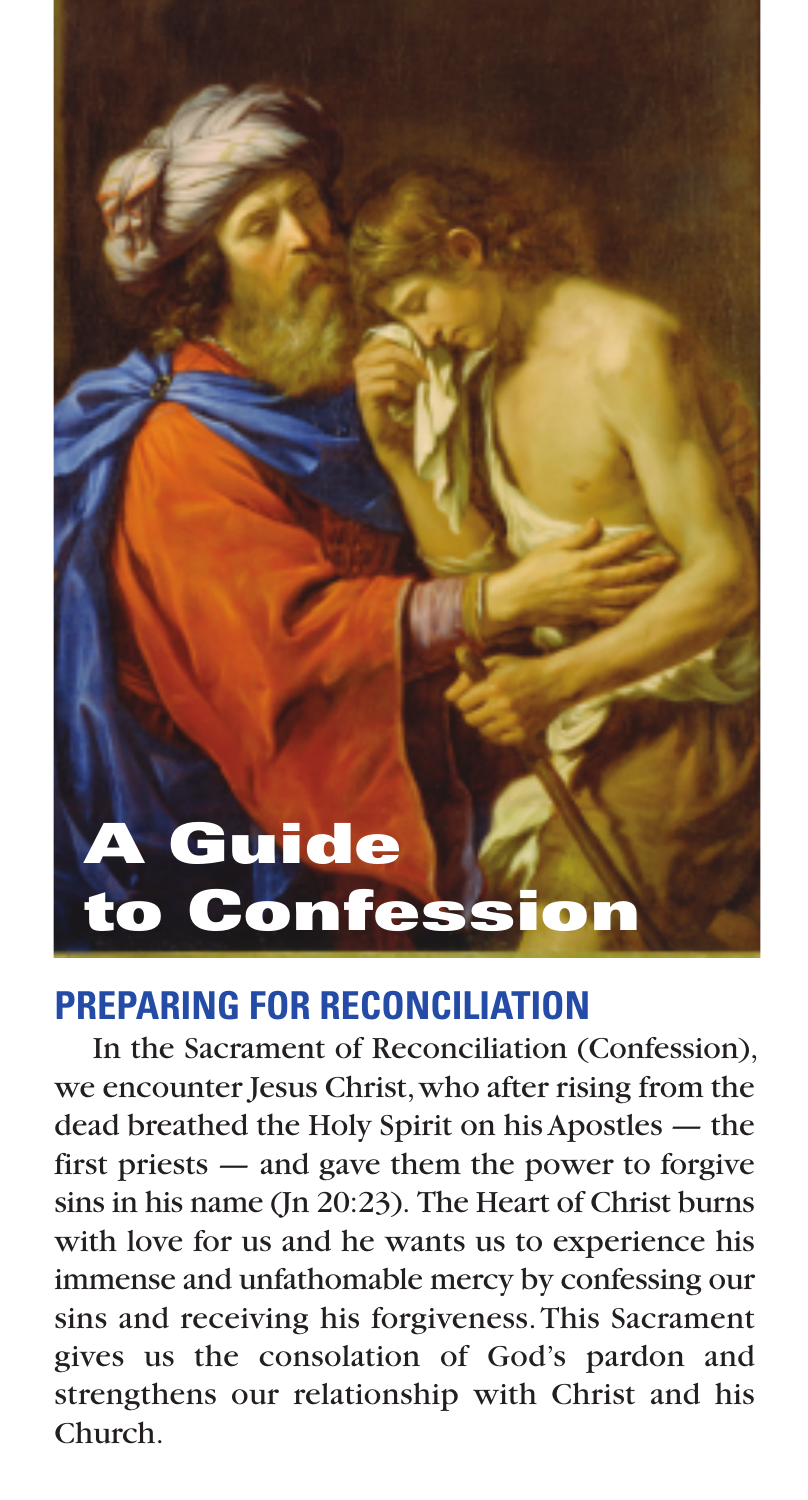# **A Guide to Confession**

## **PREPARING FOR RECONCILIATION**

In the Sacrament of Reconciliation (Confession), we encounter Jesus Christ,who after rising from the dead breathed the Holy Spirit on hisApostles — the first priests — and gave them the power to forgive sins in his name (Jn 20:23). The Heart of Christ burns with love for us and he wants us to experience his immense and unfathomable mercy by confessing our sins and receiving his forgiveness.This Sacrament gives us the consolation of God's pardon and strengthens our relationship with Christ and his Church.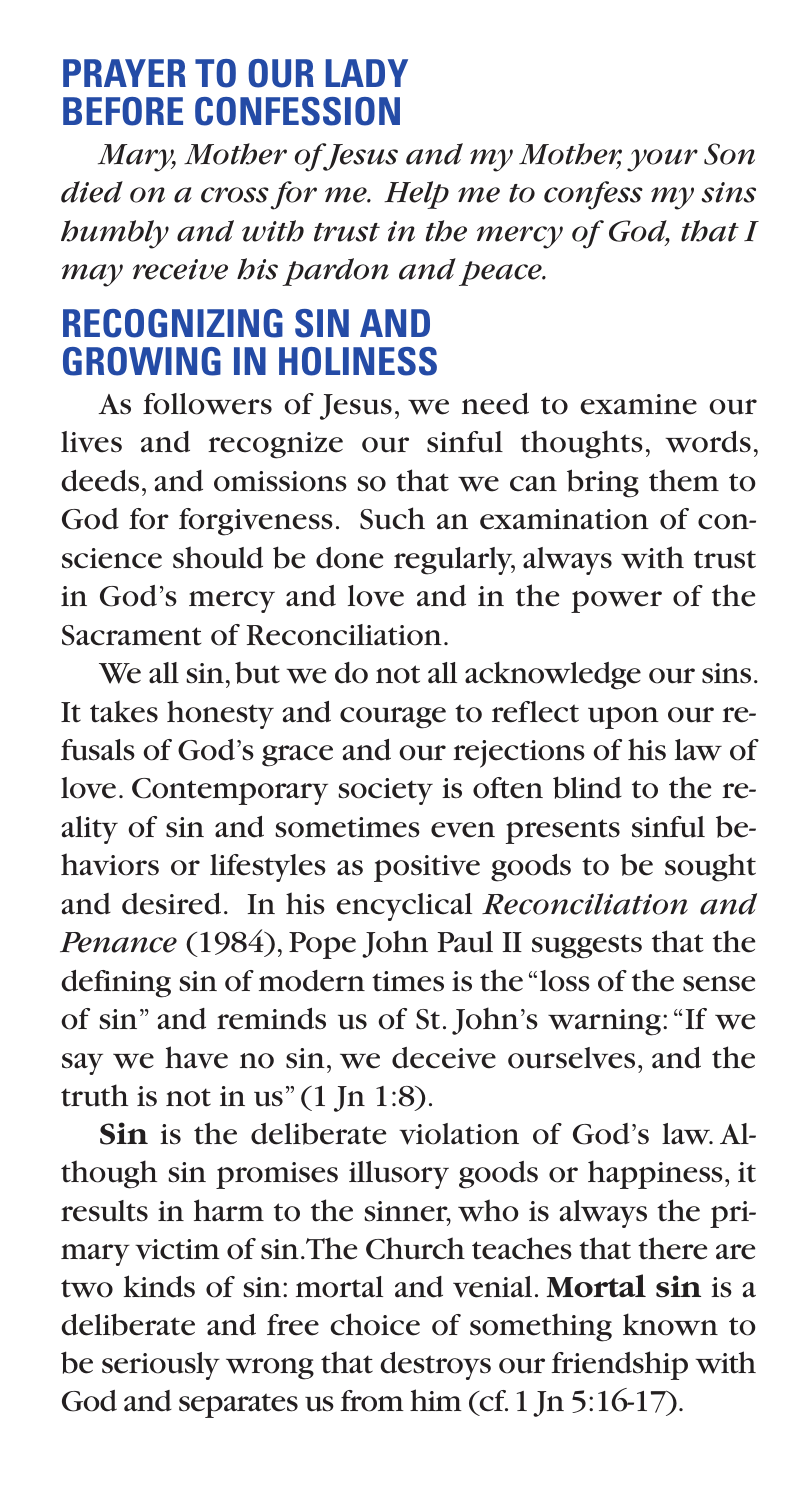## **PRAYER TO OUR LADY BEFORE CONFESSION**

*Mary, Mother of Jesus and my Mother, your Son died on a cross for me. Help me to confess my sins humbly and with trust in the mercy of God, that I may receive his pardon and peace.*

## **RECOGNIZING SIN AND GROWING IN HOLINESS**

As followers of Jesus, we need to examine our lives and recognize our sinful thoughts, words, deeds, and omissions so that we can bring them to God for forgiveness. Such an examination of conscience should be done regularly, always with trust in God's mercy and love and in the power of the Sacrament of Reconciliation.

We all sin, but we do not all acknowledge our sins. It takes honesty and courage to reflect upon our refusals of God's grace and our rejections of his law of love. Contemporary society is often blind to the reality of sin and sometimes even presents sinful behaviors or lifestyles as positive goods to be sought and desired. In his encyclical *Reconciliation and Penance* (1984), Pope John Paul II suggests that the defining sin of modern times is the"loss of the sense of sin" and reminds us of St. John's warning:"If we say we have no sin, we deceive ourselves, and the truth is not in us"  $(1 \text{ In } 1:8)$ .

**Sin** is the deliberate violation of God's law. Although sin promises illusory goods or happiness, it results in harm to the sinner, who is always the primary victim of sin.The Church teaches that there are two kinds of sin: mortal and venial. **Mortal sin** is a deliberate and free choice of something known to be seriously wrong that destroys our friendship with God and separates us from him (cf. 1 Jn  $5:16-17$ ).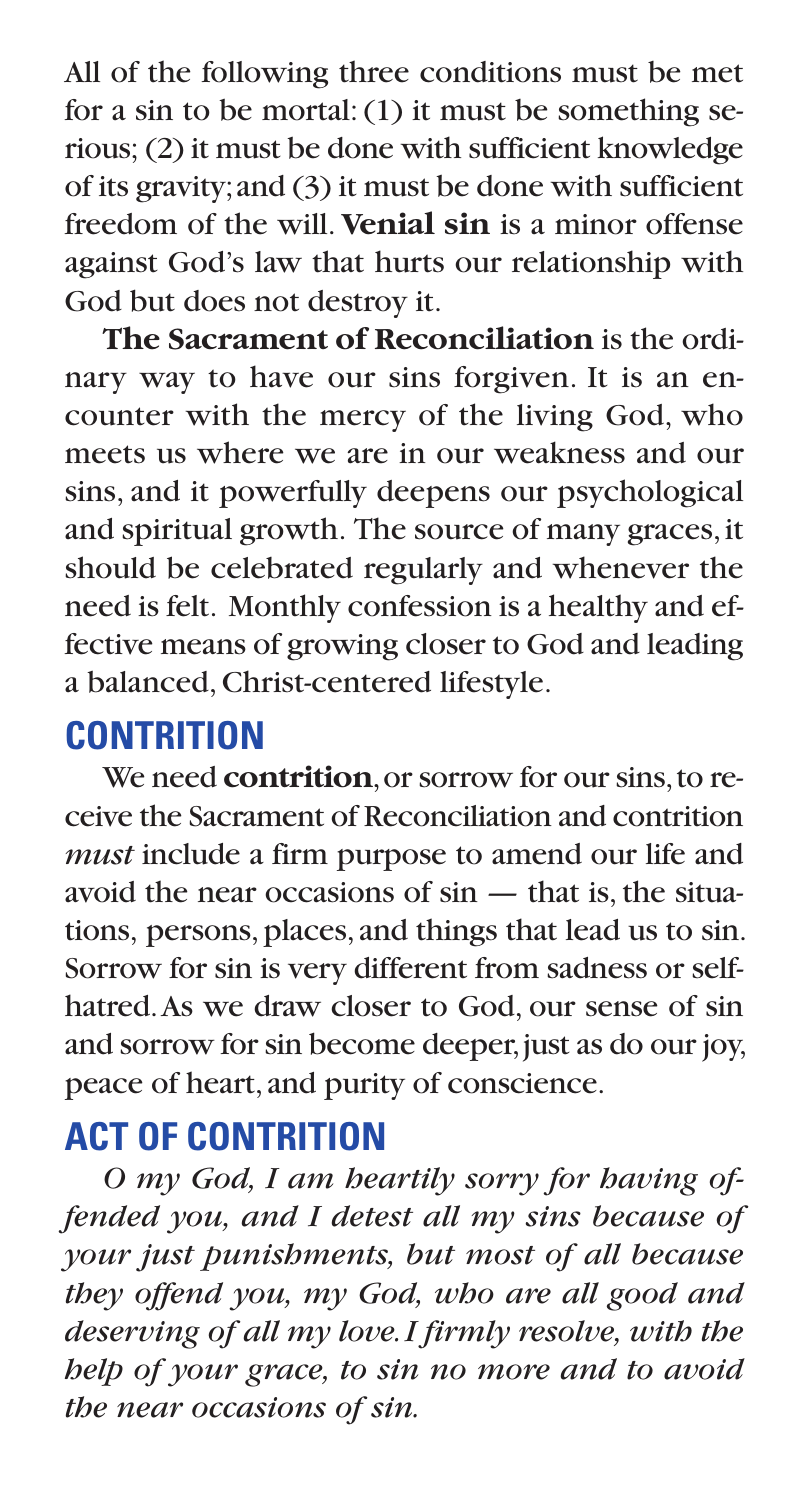All of the following three conditions must be met for a sin to be mortal:(1) it must be something serious; (2) it must be done with sufficient knowledge of its gravity;and (3) it must be done with sufficient freedom of the will. **Venial sin** is a minor offense against God's law that hurts our relationship with God but does not destroy it.

**The Sacrament of Reconciliation** is the ordinary way to have our sins forgiven. It is an encounter with the mercy of the living God, who meets us where we are in our weakness and our sins, and it powerfully deepens our psychological and spiritual growth. The source of many graces,it should be celebrated regularly and whenever the need is felt. Monthly confession is a healthy and effective means of growing closer to God and leading a balanced,Christ-centered lifestyle.

# **CONTRITION**

We need **contrition**,or sorrow for our sins,to receive the Sacrament of Reconciliation and contrition *must* include a firm purpose to amend our life and avoid the near occasions of  $sin$  — that is, the situations, persons,places, and things that lead us to sin. Sorrow for sin is very different from sadness or selfhatred.As we draw closer to God, our sense of sin and sorrow for sin become deeper, just as do our joy, peace of heart, and purity of conscience.

## **ACT OF CONTRITION**

*O my God, I am heartily sorry for having offended you, and I detest all my sins because of your just punishments, but most of all because they offend you, my God, who are all good and deserving of all my love.I firmly resolve, with the help of your grace, to sin no more and to avoid the near occasions of sin.*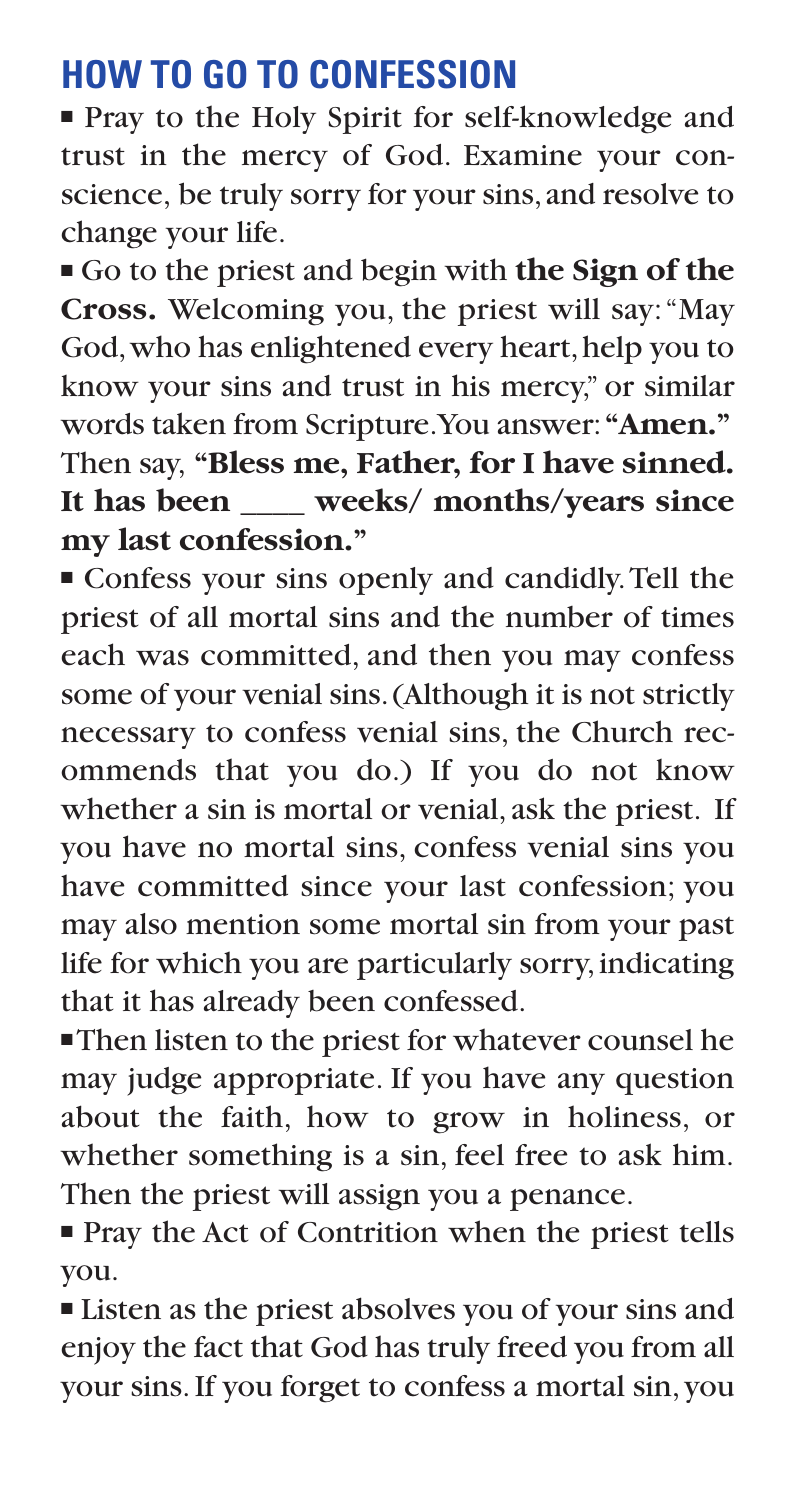# **HOW TO GO TO CONFESSION**

■ Pray to the Holy Spirit for self-knowledge and trust in the mercy of God. Examine your conscience, be truly sorry for your sins,and resolve to change your life.

■ Go to the priest and begin with **the Sign of the Cross.** Welcoming you, the priest will say:"May God, who has enlightened every heart, help you to know your sins and trust in his mercy," or similar words taken from Scripture.You answer:**"Amen."** Then say, **"Bless me, Father, for I have sinned. It has been \_\_\_\_ weeks/ months/years since my last confession."**

■ Confess your sins openly and candidly. Tell the priest of all mortal sins and the number of times each was committed, and then you may confess some of your venial sins.(Although it is not strictly necessary to confess venial sins, the Church recommends that you do.) If you do not know whether a sin is mortal or venial, ask the priest. If you have no mortal sins, confess venial sins you have committed since your last confession; you may also mention some mortal sin from your past life for which you are particularly sorry, indicating that it has already been confessed.

■ Then listen to the priest for whatever counsel he may judge appropriate. If you have any question about the faith, how to grow in holiness, or whether something is a sin, feel free to ask him. Then the priest will assign you a penance.

■ Pray the Act of Contrition when the priest tells you.

■ Listen as the priest absolves you of your sins and enjoy the fact that God has truly freed you from all your sins.If you forget to confess a mortal sin, you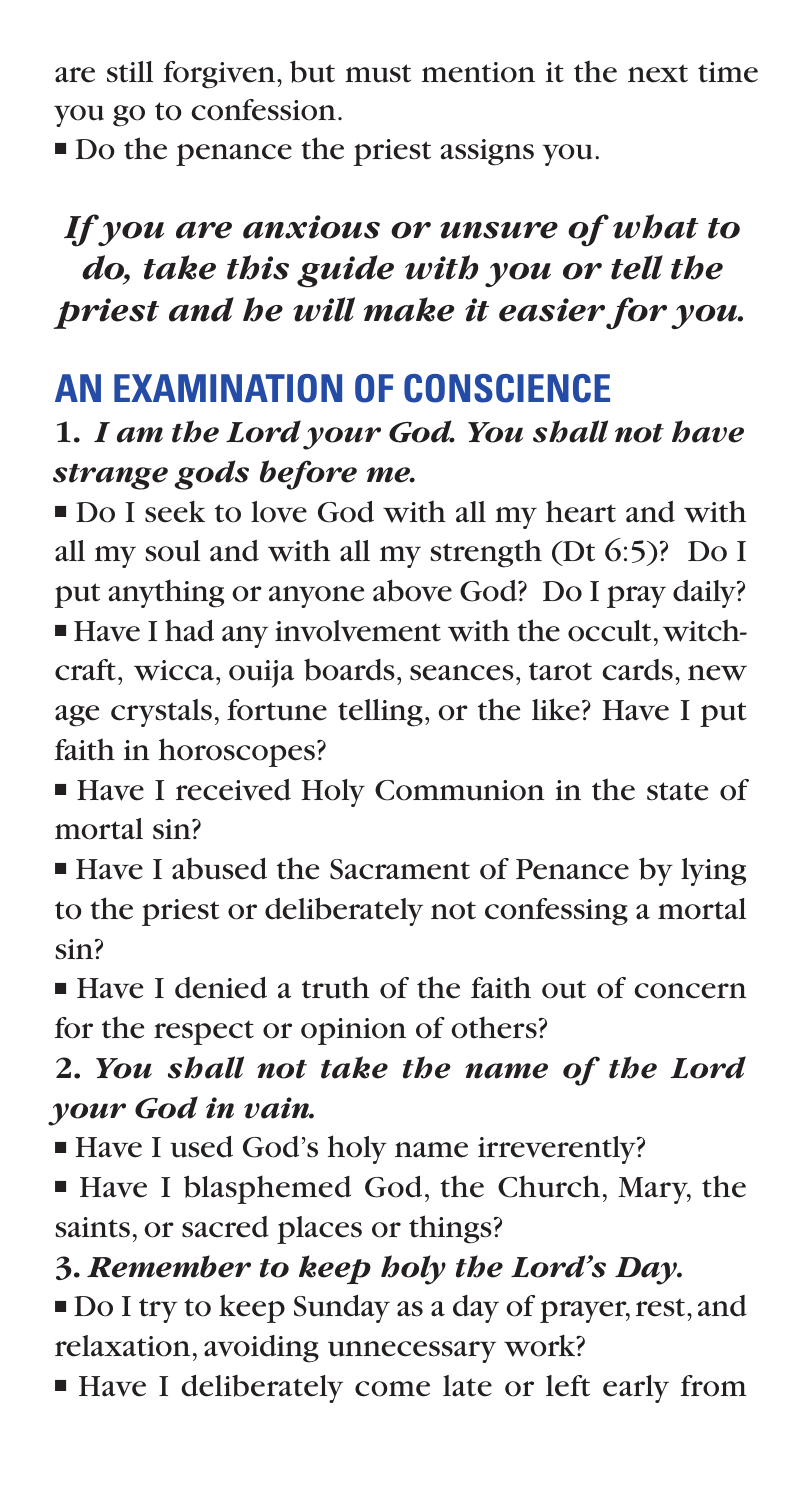are still forgiven, but must mention it the next time you go to confession.

■ Do the penance the priest assigns you.

*If you are anxious or unsure of what to do, take this guide with you or tell the priest and he will make it easier for you.*

# **AN EXAMINATION OF CONSCIENCE**

#### **1.** *I am the Lord your God. You shall not have strange gods before me.*

■ Do I seek to love God with all my heart and with all my soul and with all my strength (Dt 6:5)? Do I put anything or anyone above God? Do I pray daily? ■ Have I had any involvement with the occult,witchcraft, wicca, ouija boards, seances, tarot cards, new age crystals, fortune telling, or the like? Have I put faith in horoscopes?

- Have I received Holy Communion in the state of mortal sin?
- Have I abused the Sacrament of Penance by lying to the priest or deliberately not confessing a mortal sin?
- Have I denied a truth of the faith out of concern for the respect or opinion of others?

#### **2.** *You shall not take the name of the Lord your God in vain.*

- Have I used God's holy name irreverently?
- Have I blasphemed God, the Church, Mary, the saints, or sacred places or things?

### **3.** *Remember to keep holy the Lord's Day.*

■ Do I try to keep Sunday as a day of prayer, rest, and relaxation, avoiding unnecessary work?

■ Have I deliberately come late or left early from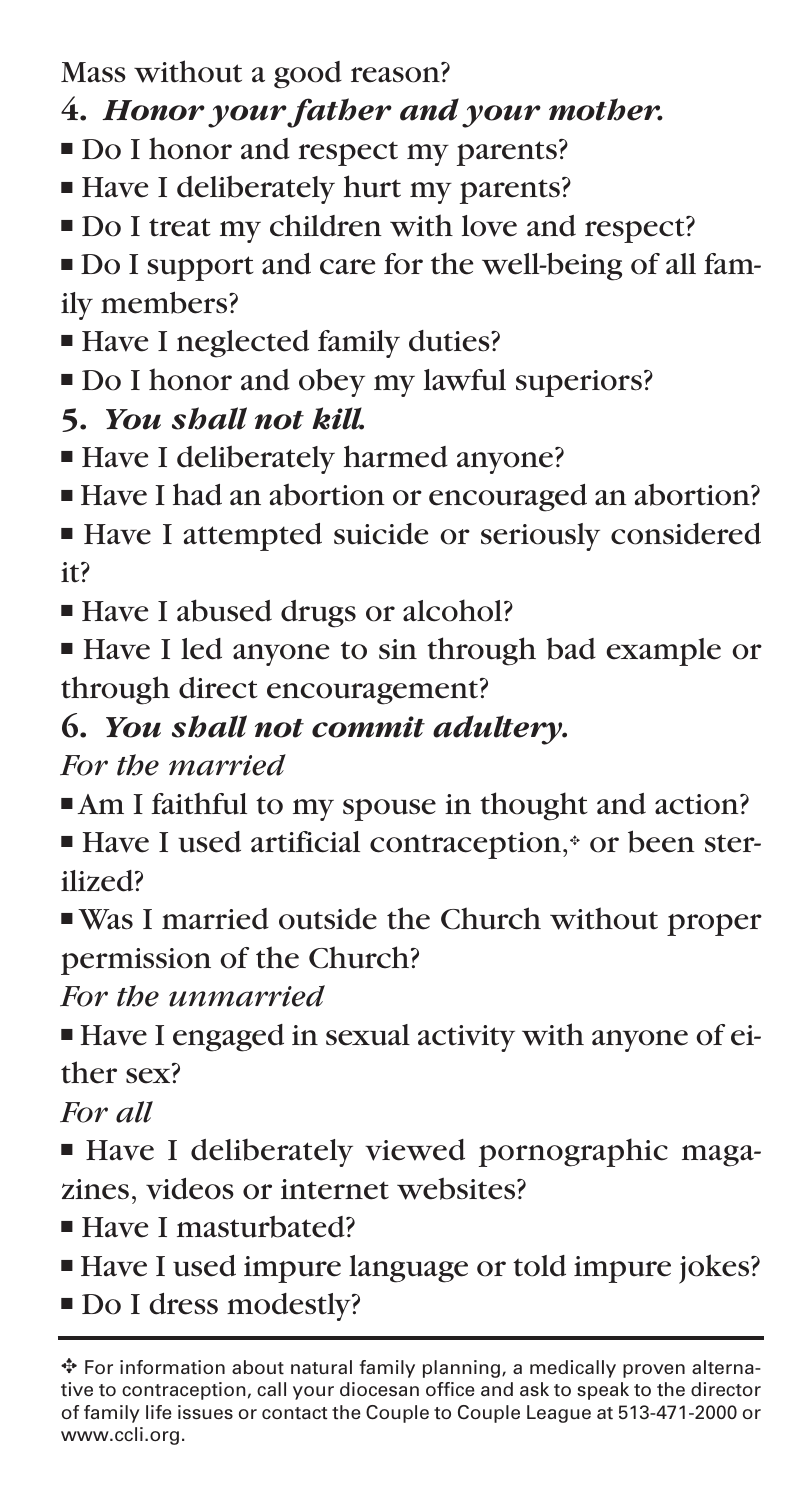Mass without a good reason?

#### **4.** *Honor your father and your mother.*

- Do I honor and respect my parents?
- Have I deliberately hurt my parents?
- Do I treat my children with love and respect?

■ Do I support and care for the well-being of all family members?

- Have I neglected family duties?
- Do I honor and obey my lawful superiors?

#### **5.** *You shall not kill.*

- Have I deliberately harmed anyone?
- Have I had an abortion or encouraged an abortion?

■ Have I attempted suicide or seriously considered it?

- Have I abused drugs or alcohol?
- Have I led anyone to sin through bad example or through direct encouragement?

#### **6.** *You shall not commit adultery. For the married*

- Am I faithful to my spouse in thought and action?
- Have I used artificial contraception,<sup>↓</sup> or been sterilized?
- Was I married outside the Church without proper permission of the Church?

*For the unmarried*

■ Have I engaged in sexual activity with anyone of either sex?

*For all*

■ Have I deliberately viewed pornographic magazines, videos or internet websites?

- Have I masturbated?
- Have I used impure language or told impure jokes?
- Do I dress modestly?

<sup>✥</sup> For information about natural family planning, a medically proven alternative to contraception, call your diocesan office and ask to speak to the director of family life issues or contact the Couple to Couple League at 513-471-2000 or www.ccli.org.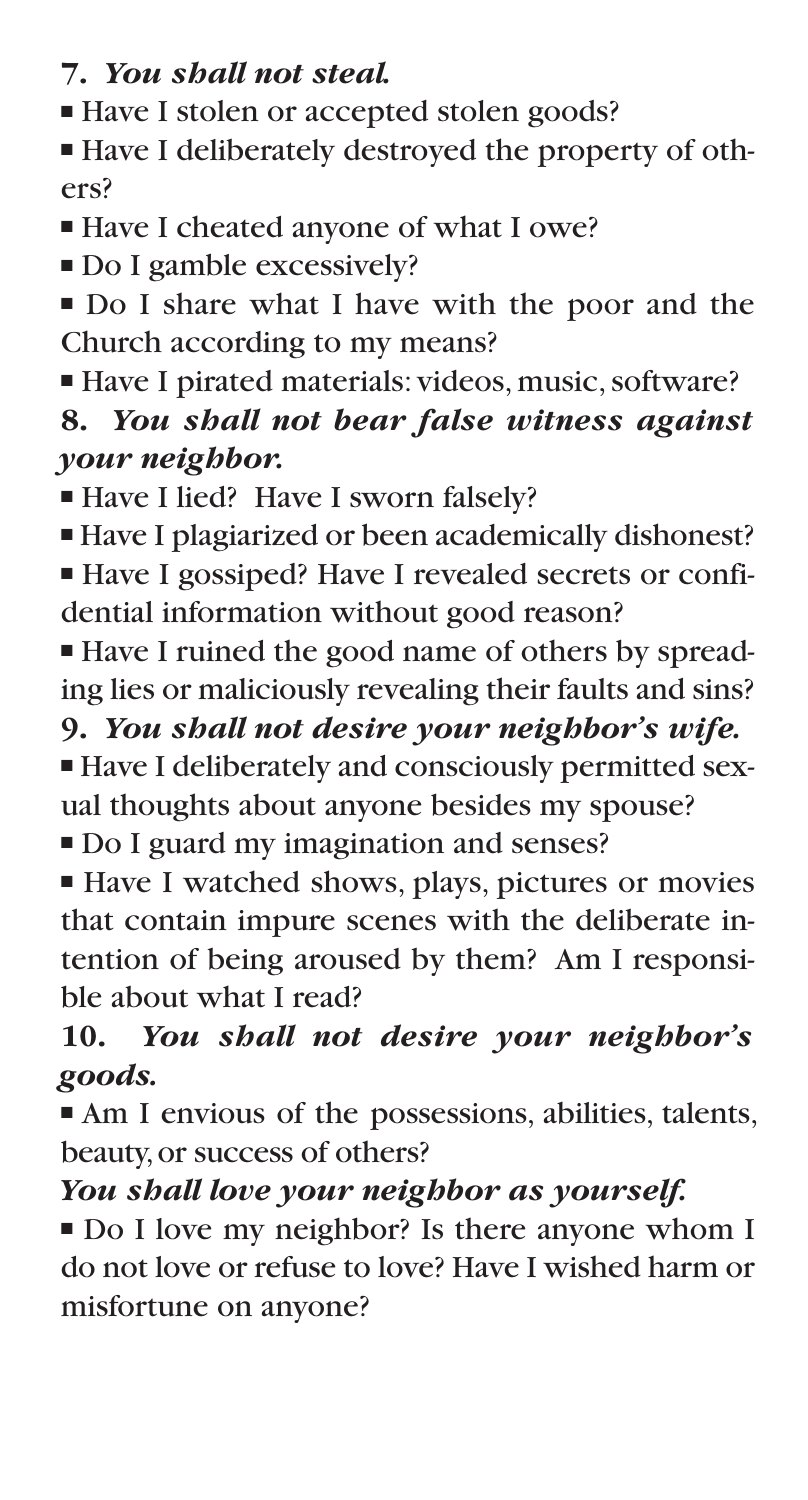#### **7.** *You shall not steal.*

- Have I stolen or accepted stolen goods?
- Have I deliberately destroyed the property of others?
- Have I cheated anyone of what I owe?
- Do I gamble excessively?
- Do I share what I have with the poor and the Church according to my means?
- Have I pirated materials: videos, music,software? **8.** *You shall not bear false witness against your neighbor.*
- Have I lied? Have I sworn falsely?
- Have I plagiarized or been academically dishonest?
- Have I gossiped? Have I revealed secrets or confidential information without good reason?
- Have I ruined the good name of others by spreading lies or maliciously revealing their faults and sins?
- **9.** *You shall not desire your neighbor's wife.*
- Have I deliberately and consciously permitted sexual thoughts about anyone besides my spouse?
- Do I guard my imagination and senses?
- Have I watched shows, plays, pictures or movies that contain impure scenes with the deliberate intention of being aroused by them? Am I responsible about what I read?

### **10.** *You shall not desire your neighbor's goods.*

■ Am I envious of the possessions, abilities, talents, beauty,or success of others?

### *You shall love your neighbor as yourself.*

■ Do I love my neighbor? Is there anyone whom I do not love or refuse to love? Have I wished harm or misfortune on anyone?